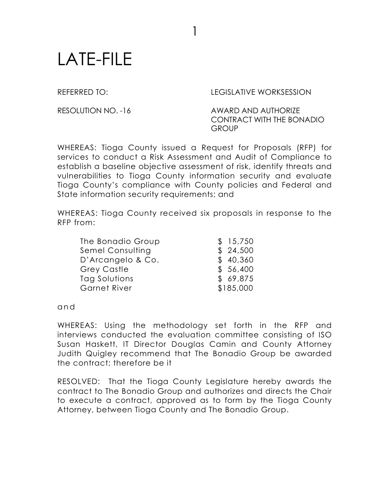## LATE-FILE

REFERRED TO: LEGISLATIVE WORKSESSION

RESOLUTION NO. -16 AWARD AND AUTHORIZE CONTRACT WITH THE BONADIO GROUP

WHEREAS: Tioga County issued a Request for Proposals (RFP) for services to conduct a Risk Assessment and Audit of Compliance to establish a baseline objective assessment of risk, identify threats and vulnerabilities to Tioga County information security and evaluate Tioga County's compliance with County policies and Federal and State information security requirements; and

1

WHEREAS: Tioga County received six proposals in response to the RFP from:

The Bonadio Group  $$15,750$ Semel Consulting \$ 24,500 D'Arcangelo & Co. \$40,360 Grey Castle \$ 56,400 Tag Solutions  $$69,875$ Garnet River \$185,000

a n d

WHEREAS: Using the methodology set forth in the RFP and interviews conducted the evaluation committee consisting of ISO Susan Haskett, IT Director Douglas Camin and County Attorney Judith Quigley recommend that The Bonadio Group be awarded the contract; therefore be it

RESOLVED: That the Tioga County Legislature hereby awards the contract to The Bonadio Group and authorizes and directs the Chair to execute a contract, approved as to form by the Tioga County Attorney, between Tioga County and The Bonadio Group.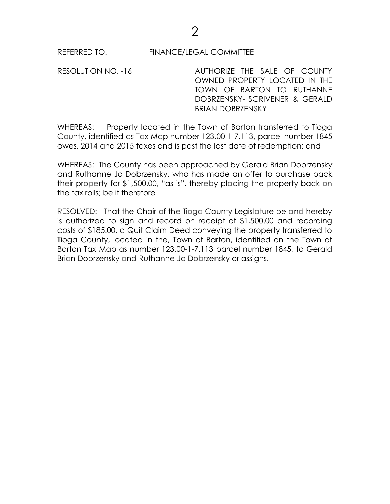RESOLUTION NO. -16 AUTHORIZE THE SALE OF COUNTY OWNED PROPERTY LOCATED IN THE TOWN OF BARTON TO RUTHANNE DOBRZENSKY- SCRIVENER & GERALD BRIAN DOBRZENSKY

WHEREAS: Property located in the Town of Barton transferred to Tioga County, identified as Tax Map number 123.00-1-7.113, parcel number 1845 owes, 2014 and 2015 taxes and is past the last date of redemption; and

WHEREAS: The County has been approached by Gerald Brian Dobrzensky and Ruthanne Jo Dobrzensky, who has made an offer to purchase back their property for \$1,500.00, "as is", thereby placing the property back on the tax rolls; be it therefore

RESOLVED: That the Chair of the Tioga County Legislature be and hereby is authorized to sign and record on receipt of \$1,500.00 and recording costs of \$185.00, a Quit Claim Deed conveying the property transferred to Tioga County, located in the, Town of Barton, identified on the Town of Barton Tax Map as number 123.00-1-7.113 parcel number 1845, to Gerald Brian Dobrzensky and Ruthanne Jo Dobrzensky or assigns.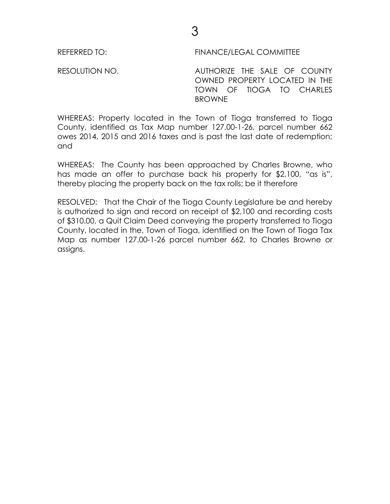RESOLUTION NO. AUTHORIZE THE SALE OF COUNTY OWNED PROPERTY LOCATED IN THE TOWN OF TIOGA TO CHARLES BROWNE

WHEREAS: Property located in the Town of Tioga transferred to Tioga County, identified as Tax Map number 127.00-1-26, parcel number 662 owes 2014, 2015 and 2016 taxes and is past the last date of redemption; and

WHEREAS: The County has been approached by Charles Browne, who has made an offer to purchase back his property for \$2,100, "as is", thereby placing the property back on the tax rolls; be it therefore

RESOLVED: That the Chair of the Tioga County Legislature be and hereby is authorized to sign and record on receipt of \$2,100 and recording costs of \$310.00, a Quit Claim Deed conveying the property transferred to Tioga County, located in the, Town of Tioga, identified on the Town of Tioga Tax Map as number 127.00-1-26 parcel number 662, to Charles Browne or assigns.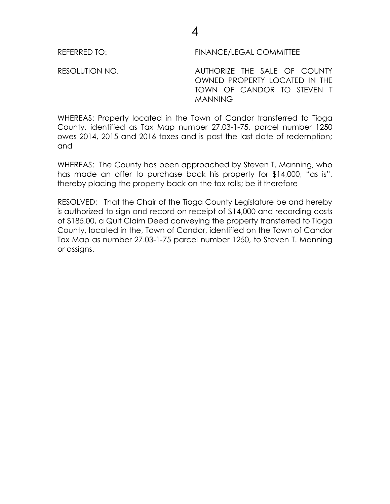RESOLUTION NO. AUTHORIZE THE SALE OF COUNTY OWNED PROPERTY LOCATED IN THE TOWN OF CANDOR TO STEVEN T **MANNING** 

WHEREAS: Property located in the Town of Candor transferred to Tioga County, identified as Tax Map number 27.03-1-75, parcel number 1250 owes 2014, 2015 and 2016 taxes and is past the last date of redemption; and

WHEREAS: The County has been approached by Steven T. Manning, who has made an offer to purchase back his property for \$14,000, "as is", thereby placing the property back on the tax rolls; be it therefore

RESOLVED: That the Chair of the Tioga County Legislature be and hereby is authorized to sign and record on receipt of \$14,000 and recording costs of \$185.00, a Quit Claim Deed conveying the property transferred to Tioga County, located in the, Town of Candor, identified on the Town of Candor Tax Map as number 27.03-1-75 parcel number 1250, to Steven T. Manning or assigns.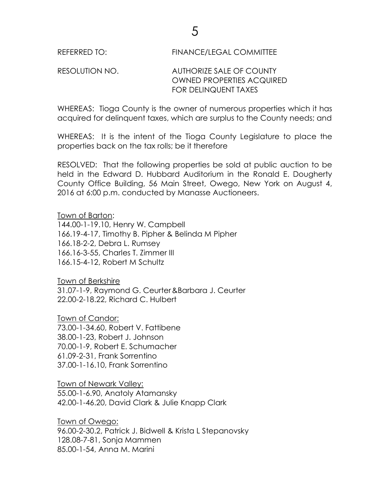## RESOLUTION NO. AUTHORIZE SALE OF COUNTY OWNED PROPERTIES ACQUIRED FOR DELINQUENT TAXES

WHEREAS: Tioga County is the owner of numerous properties which it has acquired for delinquent taxes, which are surplus to the County needs; and

WHEREAS: It is the intent of the Tioga County Legislature to place the properties back on the tax rolls; be it therefore

RESOLVED: That the following properties be sold at public auction to be held in the Edward D. Hubbard Auditorium in the Ronald E. Dougherty County Office Building, 56 Main Street, Owego, New York on August 4, 2016 at 6:00 p.m. conducted by Manasse Auctioneers.

Town of Barton:

144.00-1-19.10, Henry W. Campbell 166.19-4-17, Timothy B. Pipher & Belinda M Pipher 166.18-2-2, Debra L. Rumsey 166.16-3-55, Charles T. Zimmer III 166.15-4-12, Robert M Schultz

Town of Berkshire 31.07-1-9, Raymond G. Ceurter&Barbara J. Ceurter 22.00-2-18.22, Richard C. Hulbert

Town of Candor: 73.00-1-34.60, Robert V. Fattibene 38.00-1-23, Robert J. Johnson 70.00-1-9, Robert E. Schumacher 61.09-2-31, Frank Sorrentino 37.00-1-16.10, Frank Sorrentino

Town of Newark Valley: 55.00-1-6.90, Anatoly Atamansky 42.00-1-46.20, David Clark & Julie Knapp Clark

Town of Owego: 96.00-2-30.2, Patrick J. Bidwell & Krista L Stepanovsky 128.08-7-81, Sonja Mammen 85.00-1-54, Anna M. Marini